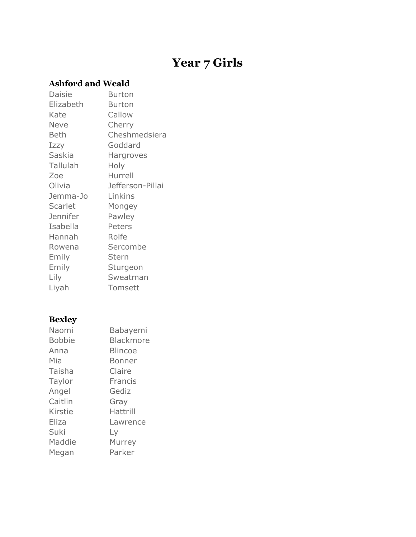# **Year 7 Girls**

### **Ashford and Weald**

| Daisie          | Burton           |
|-----------------|------------------|
| Elizabeth       | <b>Burton</b>    |
| Kate            | Callow           |
| <b>Neve</b>     | Cherry           |
| Beth            | Cheshmedsiera    |
| Izzy            | Goddard          |
| Saskia          | Hargroves        |
| Tallulah        | Holy             |
| Zoe             | Hurrell          |
| Olivia          | Jefferson-Pillai |
|                 |                  |
| Jemma-Jo        | Linkins          |
| Scarlet         | Mongey           |
| <b>Jennifer</b> | Pawley           |
| Isabella        | Peters           |
| Hannah          | Rolfe            |
| Rowena          | Sercombe         |
| Emily           | Stern            |
| Emily           | Sturgeon         |
| Lily            | Sweatman         |

# **Bexley**

| Naomi         | Babayemi         |
|---------------|------------------|
| <b>Bobbie</b> | <b>Blackmore</b> |
| Anna          | <b>Blincoe</b>   |
| Mia           | <b>Bonner</b>    |
| Taisha        | Claire           |
| Taylor        | Francis          |
| Angel         | Gediz            |
| Caitlin       | Gray             |
| Kirstie       | Hattrill         |
| Eliza         | Lawrence         |
| Suki          | Ly               |
| Maddie        | Murrey           |
| Megan         | Parker           |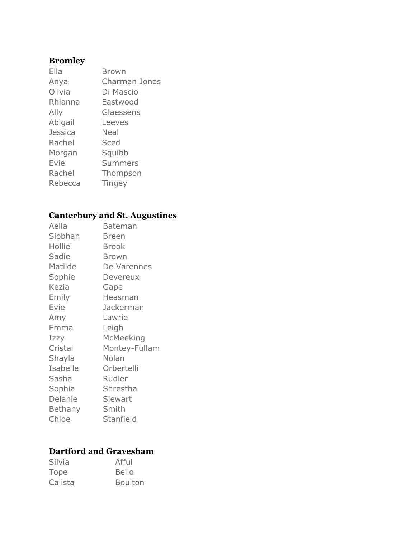# **Bromley**

| Ella           | <b>Brown</b>   |
|----------------|----------------|
| Anya           | Charman Jones  |
| Olivia         | Di Mascio      |
| Rhianna        | Eastwood       |
| Ally           | Glaessens      |
| Abigail        | Leeves         |
| <b>Jessica</b> | Neal           |
| Rachel         | Sced           |
| Morgan         | Squibb         |
| Evie           | <b>Summers</b> |
| Rachel         | Thompson       |
| Rebecca        | <b>Tingey</b>  |

### **Canterbury and St. Augustines**

| Aella    | Bateman       |
|----------|---------------|
| Siobhan  | Breen         |
| Hollie   | Brook         |
| Sadie    | Brown         |
| Matilde  | De Varennes   |
| Sophie   | Devereux      |
| Kezia    | Gape          |
| Emily    | Heasman       |
| Evie     | Jackerman     |
| Amy      | Lawrie        |
| Emma     | Leigh         |
| Izzy     | McMeeking     |
| Cristal  | Montey-Fullam |
| Shayla   | Nolan         |
| Isabelle | Orbertelli    |
| Sasha    | Rudler        |
| Sophia   | Shrestha      |
| Delanie  | Siewart       |
| Bethany  | Smith         |
| Chloe    | Stanfield     |

### **Dartford and Gravesham**

| Silvia  | Afful          |
|---------|----------------|
| Tope    | <b>Bello</b>   |
| Calista | <b>Boulton</b> |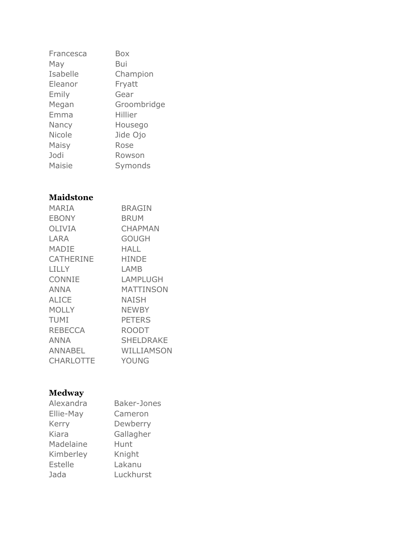| Francesca     | Box         |
|---------------|-------------|
| May           | Bui         |
| Isabelle      | Champion    |
| Eleanor       | Fryatt      |
| Emily         | Gear        |
| Megan         | Groombridge |
| Emma          | Hillier     |
| Nancy         | Housego     |
| Nicole        | Jide Ojo    |
| Maisy         | Rose        |
| Jodi          | Rowson      |
| <b>Maisie</b> | Symonds     |

### **Maidstone**

| <b>MARIA</b>     | <b>BRAGIN</b>  |
|------------------|----------------|
| <b>EBONY</b>     | BRUM           |
| <b>OLIVIA</b>    | <b>CHAPMAN</b> |
| LARA             | <b>GOUGH</b>   |
| MADIE            | HALL           |
| <b>CATHERINE</b> | <b>HINDE</b>   |
| LILLY            | LAMB           |
| <b>CONNIE</b>    | LAMPLUGH       |
| ANNA             | MATTINSON      |
| <b>ALICE</b>     | <b>NAISH</b>   |
| <b>MOLLY</b>     | <b>NEWBY</b>   |
| <b>TUMI</b>      | <b>PETERS</b>  |
| <b>REBECCA</b>   | <b>ROODT</b>   |
| ANNA             | SHELDRAKE      |
| <b>ANNABEL</b>   | WILLIAMSON     |
| <b>CHARLOTTE</b> | YOUNG          |

### **Medway**

| Alexandra      | <b>Baker-Jones</b> |
|----------------|--------------------|
| Ellie-May      | Cameron            |
| Kerry          | Dewberry           |
| Kiara          | Gallagher          |
| Madelaine      | Hunt               |
| Kimberley      | Knight             |
| <b>Estelle</b> | Lakanu             |
| Jada           | Luckhurst          |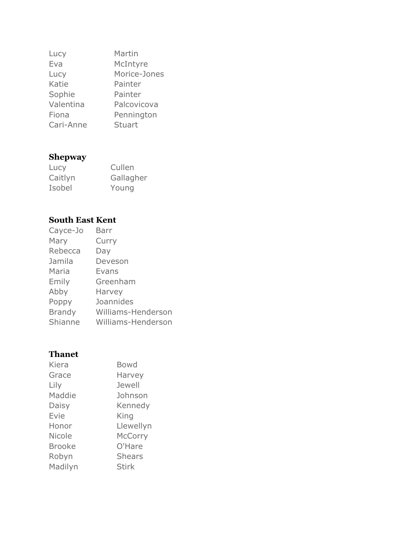| Lucy      | Martin        |
|-----------|---------------|
| Eva       | McIntyre      |
| Lucy      | Morice-Jones  |
| Katie     | Painter       |
| Sophie    | Painter       |
| Valentina | Palcovicova   |
| Fiona     | Pennington    |
| Cari-Anne | <b>Stuart</b> |

### **Shepway**

| Lucy    | Cullen    |
|---------|-----------|
| Caitlyn | Gallagher |
| Isobel  | Young     |

#### **South East Kent**

| Cayce-Jo      | Barr               |
|---------------|--------------------|
| Mary          | Curry              |
| Rebecca       | Day                |
| Jamila        | Deveson            |
| Maria         | Evans              |
| Emily         | Greenham           |
| Abby          | Harvey             |
| Poppy         | Joannides          |
| <b>Brandy</b> | Williams-Henderson |
| Shianne       | Williams-Henderson |
|               |                    |

### **Thanet**

| Kiera         | <b>Bowd</b>    |
|---------------|----------------|
| Grace         | Harvey         |
| Lily          | Jewell         |
| Maddie        | Johnson        |
| Daisy         | Kennedy        |
| Evie          | King           |
| Honor         | Llewellyn      |
| <b>Nicole</b> | <b>McCorry</b> |
| Brooke        | O'Hare         |
| Robyn         | <b>Shears</b>  |
| Madilyn       | <b>Stirk</b>   |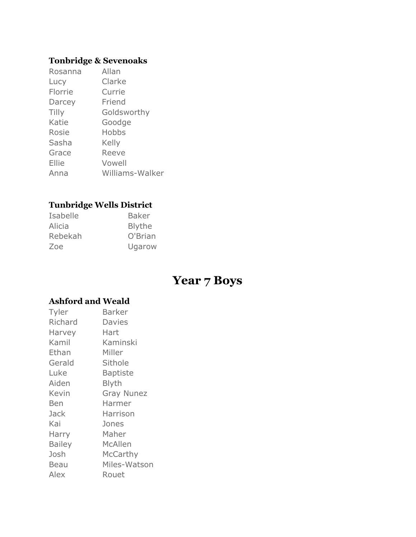### **Tonbridge & Sevenoaks**

| Rosanna      | Allan           |
|--------------|-----------------|
| Lucy         | Clarke          |
| Florrie      | Currie          |
| Darcey       | Friend          |
| <b>Tilly</b> | Goldsworthy     |
| Katie        | Goodge          |
| Rosie        | Hobbs           |
| Sasha        | Kelly           |
| Grace        | Reeve           |
| Ellie        | Vowell          |
| Anna         | Williams-Walker |

### **Tunbridge Wells District**

| Isabelle | <b>Baker</b> |
|----------|--------------|
| Alicia   | Blythe       |
| Rebekah  | O'Brian      |
| Zoe      | Ugarow       |

# **Year 7 Boys**

### **Ashford and Weald**

| Tyler         | Barker            |
|---------------|-------------------|
| Richard       | Davies            |
| Harvey        | Hart              |
| Kamil         | Kaminski          |
| Ethan         | Miller            |
| Gerald        | Sithole           |
| Luke          | Baptiste          |
| Aiden         | <b>Blyth</b>      |
| Kevin         | <b>Gray Nunez</b> |
| Ben           | Harmer            |
| Jack          | Harrison          |
| Kai           | Jones             |
| Harry         | Maher             |
| <b>Bailey</b> | McAllen           |
| Josh          | McCarthy          |
| Beau          | Miles-Watson      |
| Alex          | Rouet             |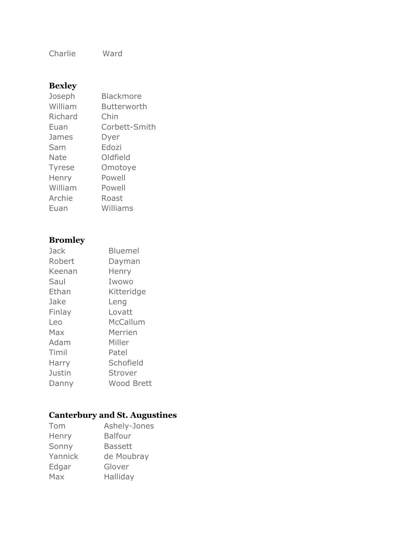Charlie Ward

### **Bexley**

| <b>Blackmore</b> |
|------------------|
| Butterworth      |
| Chin             |
| Corbett-Smith    |
| Dyer             |
| Edozi            |
| Oldfield         |
| Omotoye          |
| Powell           |
| Powell           |
| Roast            |
| Williams         |
|                  |

# **Bromley**

| Jack   | <b>Bluemel</b> |
|--------|----------------|
| Robert | Dayman         |
| Keenan | Henry          |
| Saul   | Iwowo          |
| Ethan  | Kitteridge     |
| Jake   | Leng           |
| Finlay | Lovatt         |
| Leo    | McCallum       |
| Max    | Merrien        |
| Adam   | Miller         |
| Timil  | Patel          |
| Harry  | Schofield      |
| Justin | Strover        |
| Danny  | Wood Brett     |
|        |                |

# **Canterbury and St. Augustines**

| Tom     | Ashely-Jones   |
|---------|----------------|
| Henry   | <b>Balfour</b> |
| Sonny   | <b>Bassett</b> |
| Yannick | de Moubray     |
| Edgar   | Glover         |
| Max     | Halliday       |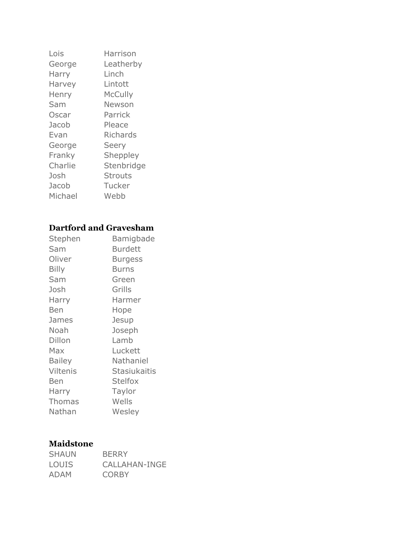| Lois    | Harrison       |
|---------|----------------|
| George  | Leatherby      |
| Harry   | Linch          |
| Harvey  | Lintott        |
| Henry   | <b>McCully</b> |
| Sam     | Newson         |
| Oscar   | Parrick        |
| Jacob   | Pleace         |
| Evan    | Richards       |
| George  | Seery          |
| Franky  | Sheppley       |
| Charlie | Stenbridge     |
| Josh    | <b>Strouts</b> |
| Jacob   | Tucker         |
| Michael | Webb           |

#### **Dartford and Gravesham**

| Stephen       | Bamigbade           |
|---------------|---------------------|
| Sam           | <b>Burdett</b>      |
| Oliver        | <b>Burgess</b>      |
| <b>Billy</b>  | <b>Burns</b>        |
| Sam           | Green               |
| Josh          | Grills              |
| Harry         | Harmer              |
| Ben           | Hope                |
| James         | Jesup               |
| Noah          | Joseph              |
| Dillon        | Lamb                |
| Max           | Luckett             |
| <b>Bailey</b> | Nathaniel           |
| Viltenis      | <b>Stasiukaitis</b> |
| Ben           | <b>Stelfox</b>      |
| Harry         | Taylor              |
| <b>Thomas</b> | Wells               |
| Nathan        | Wesley              |

#### **Maidstone**

| <b>SHAUN</b> | <b>BERRY</b>  |
|--------------|---------------|
| <b>LOUIS</b> | CALLAHAN-INGE |
| ADAM         | <b>CORBY</b>  |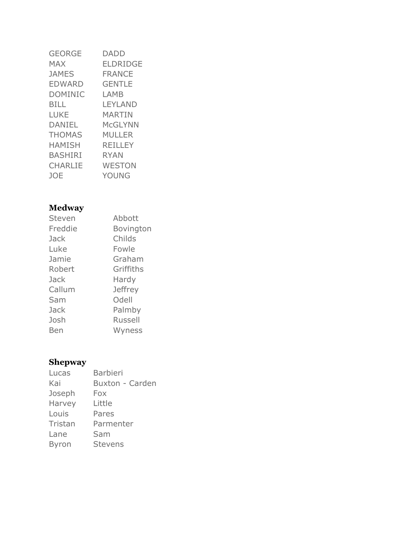| <b>GEORGE</b>  | <b>DADD</b>   |
|----------------|---------------|
| <b>MAX</b>     | ELDRIDGE      |
| <b>JAMES</b>   | <b>FRANCE</b> |
| <b>EDWARD</b>  | <b>GENTLE</b> |
| <b>DOMINIC</b> | LAMB          |
| <b>BILL</b>    | LEYLAND       |
| <b>LUKE</b>    | MARTIN        |
| DANIEL         | McGLYNN       |
| THOMAS         | MULLER        |
| <b>HAMISH</b>  | REILLEY       |
| <b>BASHIRI</b> | RYAN          |
| <b>CHARLIE</b> | WESTON        |
| JOE            | YOUNG         |

# **Medway**

| Steven  | Abbott         |
|---------|----------------|
| Freddie | Bovington      |
| Jack    | Childs         |
| Luke    | Fowle          |
| Jamie   | Graham         |
| Robert  | Griffiths      |
| Jack    | Hardy          |
| Callum  | <b>Jeffrey</b> |
| Sam     | Odell          |
| Jack    | Palmby         |
| Josh    | <b>Russell</b> |
| Ben     | Wyness         |
|         |                |

# **Shepway**

| Lucas        | <b>Barbieri</b>        |
|--------------|------------------------|
| Kai          | <b>Buxton - Carden</b> |
| Joseph       | Fox                    |
| Harvey       | Little                 |
| Louis        | Pares                  |
| Tristan      | Parmenter              |
| Lane         | Sam                    |
| <b>Byron</b> | <b>Stevens</b>         |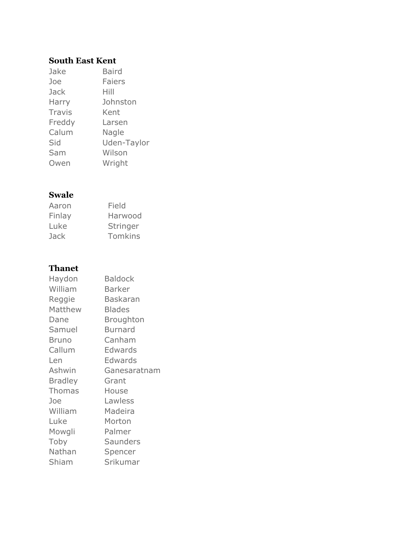#### **South East Kent**

| Jake          | <b>Baird</b>  |
|---------------|---------------|
| Joe           | <b>Faiers</b> |
| Jack          | Hill          |
| Harry         | Johnston      |
| <b>Travis</b> | Kent          |
| Freddy        | Larsen        |
| Calum         | Nagle         |
| Sid           | Uden-Taylor   |
| Sam           | Wilson        |
| Owen          | Wright        |

#### **Swale**

| Aaron  | Field    |
|--------|----------|
| Finlay | Harwood  |
| Luke   | Stringer |
| Jack   | Tomkins  |

#### **Thanet**

| Haydon         | <b>Baldock</b>  |
|----------------|-----------------|
| William        | <b>Barker</b>   |
| Reggie         | <b>Baskaran</b> |
| Matthew        | <b>Blades</b>   |
| Dane           | Broughton       |
| Samuel         | Burnard         |
| <b>Bruno</b>   | Canham          |
| Callum         | Edwards         |
| Len            | Edwards         |
| Ashwin         | Ganesaratnam    |
| <b>Bradley</b> | Grant           |
| <b>Thomas</b>  | House           |
| Joe            | Lawless         |
| William        | Madeira         |
| Luke           | Morton          |
| Mowgli         | Palmer          |
| Toby           | <b>Saunders</b> |
| Nathan         | Spencer         |
| Shiam          | Srikumar        |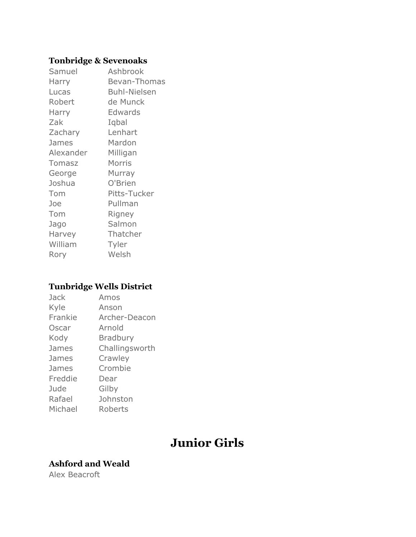#### **Tonbridge & Sevenoaks**

| Samuel        | Ashbrook            |
|---------------|---------------------|
| Harry         | Bevan-Thomas        |
| Lucas         | <b>Buhl-Nielsen</b> |
| Robert        | de Munck            |
| Harry         | Edwards             |
| Zak           | Iqbal               |
| Zachary       | Lenhart             |
| James         | Mardon              |
| Alexander     | Milligan            |
| <b>Tomasz</b> | Morris              |
| George        | Murray              |
| Joshua        | O'Brien             |
| Tom           | Pitts-Tucker        |
| Joe           | Pullman             |
| Tom           | Rigney              |
| Jago          | Salmon              |
| Harvey        | Thatcher            |
| William       | Tyler               |
| Rory          | Welsh               |

### **Tunbridge Wells District**

| Jack    | Amos           |
|---------|----------------|
| Kyle    | Anson          |
| Frankie | Archer-Deacon  |
| Oscar   | Arnold         |
| Kody    | Bradbury       |
| James   | Challingsworth |
| James   | Crawley        |
| James   | Crombie        |
| Freddie | Dear           |
| Jude    | Gilby          |
| Rafael  | Johnston       |
| Michael | Roberts        |

# **Junior Girls**

### **Ashford and Weald**

Alex Beacroft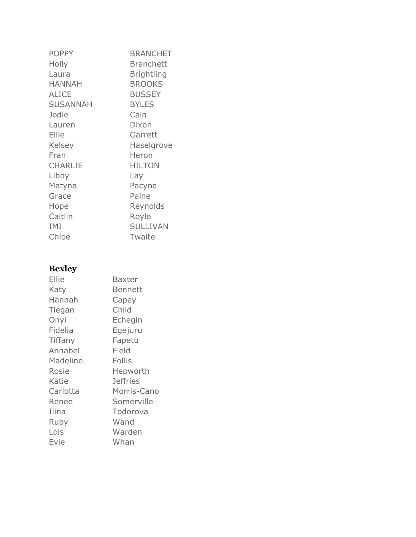| <b>POPPY</b>    | <b>BRANCHET</b>   |
|-----------------|-------------------|
| Holly           | <b>Branchett</b>  |
| Laura           | <b>Brightling</b> |
| <b>HANNAH</b>   | <b>BROOKS</b>     |
| <b>ALICE</b>    | <b>BUSSEY</b>     |
| <b>SUSANNAH</b> | <b>BYLES</b>      |
| Jodie           | Cain              |
| Lauren          | Dixon             |
| Ellie           | Garrett           |
| <b>Kelsey</b>   | Haselgrove        |
| Fran            | Heron             |
| <b>CHARLIE</b>  | <b>HILTON</b>     |
| Libby           | Lay               |
| Matyna          | Pacyna            |
| Grace           | Paine             |
| Hope            | Reynolds          |
| Caitlin         | Royle             |
| IMI             | <b>SULLIVAN</b>   |
| Chloe           | Twaite            |
|                 |                   |

# **Bexley**

| Ellie    | Baxter          |
|----------|-----------------|
| Katy     | Bennett         |
| Hannah   | Capey           |
| Tiegan   | Child           |
| Onyi     | Echegin         |
| Fidelia  | Egejuru         |
| Tiffany  | Fapetu          |
| Annabel  | Field           |
| Madeline | <b>Follis</b>   |
| Rosie    | Hepworth        |
| Katie    | <b>Jeffries</b> |
| Carlotta | Morris-Cano     |
| Renee    | Somerville      |
| Ilina    | Todorova        |
| Ruby     | Wand            |
| Lois     | Warden          |
| Evie     | Whan            |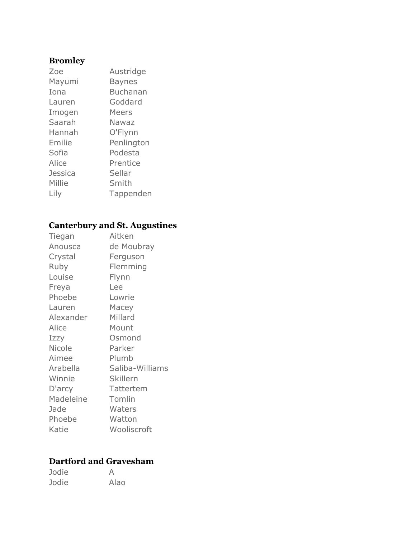### **Bromley**

| Zoe     | Austridge  |
|---------|------------|
| Mayumi  | Baynes     |
| Iona    | Buchanan   |
| Lauren  | Goddard    |
| Imogen  | Meers      |
| Saarah  | Nawaz      |
| Hannah  | O'Flynn    |
| Emilie  | Penlington |
| Sofia   | Podesta    |
| Alice   | Prentice   |
| Jessica | Sellar     |
| Millie  | Smith      |
| Lily    | Tappenden  |

# **Canterbury and St. Augustines**

| Tiegan        | Aitken          |
|---------------|-----------------|
| Anousca       | de Moubray      |
| Crystal       | Ferguson        |
| Ruby          | Flemming        |
| Louise        | Flynn           |
| Freya         | Lee             |
| Phoebe        | Lowrie          |
| Lauren        | Macey           |
| Alexander     | Millard         |
| Alice         | Mount           |
| Izzy          | Osmond          |
| <b>Nicole</b> | Parker          |
| Aimee         | Plumb           |
| Arabella      | Saliba-Williams |
| Winnie        | <b>Skillern</b> |
| D'arcy        | Tattertem       |
| Madeleine     | Tomlin          |
| Jade          | Waters          |
| Phoebe        | Watton          |
| Katie         | Wooliscroft     |

## **Dartford and Gravesham**

| Jodie | А    |
|-------|------|
| Jodie | Alao |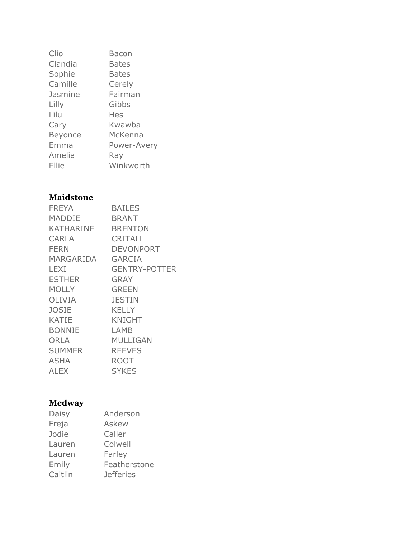| Clio           | Bacon        |
|----------------|--------------|
| Clandia        | <b>Bates</b> |
| Sophie         | <b>Bates</b> |
| Camille        | Cerely       |
| Jasmine        | Fairman      |
| Lilly          | Gibbs        |
| Lilu           | Hes          |
| Cary           | Kwawba       |
| <b>Beyonce</b> | McKenna      |
| Emma           | Power-Avery  |
| Amelia         | Ray          |
| Ellie          | Winkworth    |

## **Maidstone**

| <b>FREYA</b>  | <b>BAILES</b>        |
|---------------|----------------------|
| <b>MADDIE</b> | <b>BRANT</b>         |
| KATHARINE     | <b>BRENTON</b>       |
| CARLA         | <b>CRITALL</b>       |
| <b>FERN</b>   | DEVONPORT            |
| MARGARIDA     | <b>GARCIA</b>        |
| LEXI          | <b>GENTRY-POTTER</b> |
| <b>ESTHER</b> | <b>GRAY</b>          |
| <b>MOLLY</b>  | <b>GREEN</b>         |
| OLIVIA        | <b>JESTIN</b>        |
| <b>JOSIE</b>  | <b>KELLY</b>         |
| <b>KATIE</b>  | KNIGHT               |
| <b>BONNIE</b> | LAMB                 |
| <b>ORLA</b>   | MULLIGAN             |
| <b>SUMMER</b> | <b>REEVES</b>        |
| ASHA          | ROOT                 |
| ALEX          | <b>SYKES</b>         |

### **Medway**

| Daisy   | Anderson         |
|---------|------------------|
| Freja   | Askew            |
| Jodie   | Caller           |
| Lauren  | Colwell          |
| Lauren  | Farley           |
| Emily   | Featherstone     |
| Caitlin | <b>Jefferies</b> |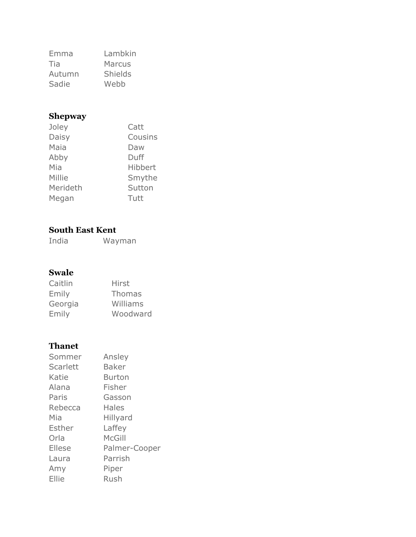| Emma   | Lambkin        |
|--------|----------------|
| Tia    | Marcus         |
| Autumn | <b>Shields</b> |
| Sadie  | Webb           |

### **Shepway**

| Joley    | Catt    |
|----------|---------|
| Daisy    | Cousins |
| Maia     | Daw     |
| Abby     | Duff    |
| Mia      | Hibbert |
| Millie   | Smythe  |
| Merideth | Sutton  |
| Megan    | Tutt    |

#### **South East Kent**

India Wayman

#### **Swale**

| Caitlin | Hirst         |
|---------|---------------|
| Emily   | <b>Thomas</b> |
| Georgia | Williams      |
| Emily   | Woodward      |

#### **Thanet**

| Sommer          | Ansley        |
|-----------------|---------------|
| <b>Scarlett</b> | Baker         |
| Katie           | Burton        |
| Alana           | Fisher        |
| Paris           | Gasson        |
| Rebecca         | Hales         |
| Mia             | Hillyard      |
| Esther          | Laffey        |
| Orla            | McGill        |
| Ellese          | Palmer-Cooper |
| Laura           | Parrish       |
| Amy             | Piper         |
| Ellie           | Rush          |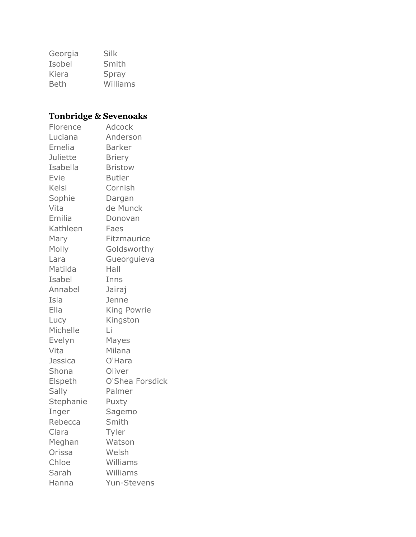| Georgia     | Silk     |
|-------------|----------|
| Isobel      | Smith    |
| Kiera       | Spray    |
| <b>Beth</b> | Williams |

# **Tonbridge & Sevenoaks**

| Florence        | Adcock             |
|-----------------|--------------------|
| Luciana         | Anderson           |
| Emelia          | <b>Barker</b>      |
| <b>Juliette</b> | <b>Briery</b>      |
| Isabella        | <b>Bristow</b>     |
| Evie            | <b>Butler</b>      |
| Kelsi           | Cornish            |
| Sophie          | Dargan             |
| Vita            | de Munck           |
| Emilia          | Donovan            |
| Kathleen        | Faes               |
| Mary            | Fitzmaurice        |
| Molly           | Goldsworthy        |
| Lara            | Gueorguieva        |
| Matilda         | Hall               |
| Isabel          | Inns               |
| Annabel         | Jairaj             |
| Isla            | Jenne              |
| Ella            | King Powrie        |
| Lucy            | Kingston           |
| Michelle        | Li                 |
| Evelyn          | Mayes              |
| Vita            | Milana             |
| <b>Jessica</b>  | O'Hara             |
| Shona           | Oliver             |
| Elspeth         | O'Shea Forsdick    |
| Sally           | Palmer             |
| Stephanie       | Puxty              |
| Inger           | Sagemo             |
| Rebecca         | Smith              |
| Clara           | Tyler              |
| Meghan          | Watson             |
| Orissa          | Welsh              |
| Chloe           | Williams           |
| Sarah           | Williams           |
| Hanna           | <b>Yun-Stevens</b> |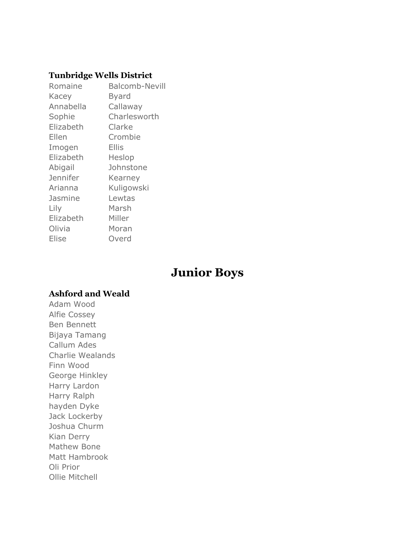#### **Tunbridge Wells District**

| Romaine   | <b>Balcomb-Nevill</b> |
|-----------|-----------------------|
| Kacey     | Byard                 |
| Annabella | Callaway              |
| Sophie    | Charlesworth          |
| Elizabeth | Clarke                |
| Ellen     | Crombie               |
| Imogen    | Ellis                 |
| Elizabeth | Heslop                |
| Abigail   | Johnstone             |
| Jennifer  | Kearney               |
| Arianna   | Kuligowski            |
| Jasmine   | Lewtas                |
| Lily      | Marsh                 |
| Elizabeth | Miller                |
| Olivia    | Moran                 |
| Elise     | Overd                 |

# **Junior Boys**

#### **Ashford and Weald**

Adam Wood Alfie Cossey Ben Bennett Bijaya Tamang Callum Ades Charlie Wealands Finn Wood George Hinkley Harry Lardon Harry Ralph hayden Dyke Jack Lockerby Joshua Churm Kian Derry Mathew Bone Matt Hambrook Oli Prior Ollie Mitchell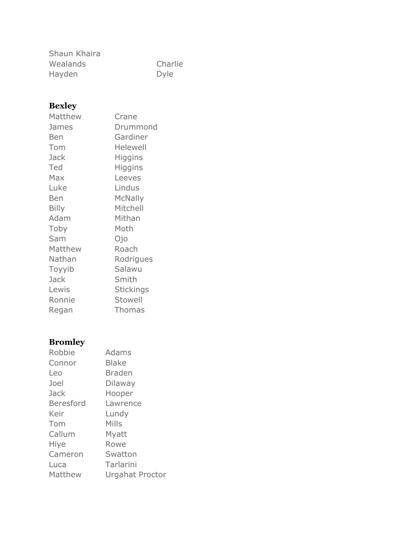| Shaun Khaira |             |
|--------------|-------------|
| Wealands     | Charlie     |
| Hayden       | <b>Dyle</b> |

# **Bexley**

| Matthew      | Crane            |
|--------------|------------------|
| James        | Drummond         |
| <b>Ben</b>   | Gardiner         |
| Tom          | <b>Helewell</b>  |
| Jack         | Higgins          |
| Ted          | Higgins          |
| Max          | Leeves           |
| Luke         | Lindus           |
| Ben          | <b>McNally</b>   |
| <b>Billy</b> | Mitchell         |
| Adam         | Mithan           |
| Toby         | Moth             |
| Sam          | Ojo              |
| Matthew      | Roach            |
| Nathan       | Rodrigues        |
| Toyyib       | Salawu           |
| Jack         | Smith            |
| Lewis        | <b>Stickings</b> |
| Ronnie       | Stowell          |
| Regan        | <b>Thomas</b>    |

# **Bromley**

| Urgahat Proctor |
|-----------------|
|                 |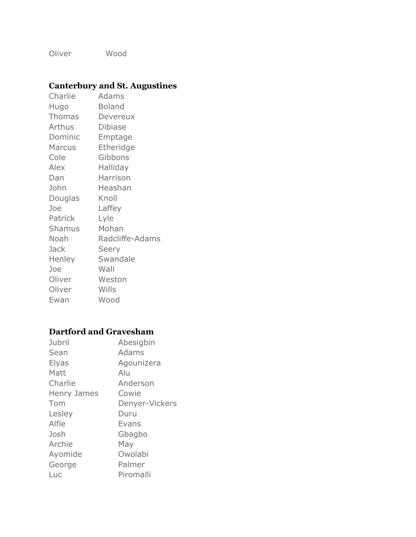Oliver Wood

### **Canterbury and St. Augustines**

| Charlie       | Adams           |
|---------------|-----------------|
| Hugo          | <b>Boland</b>   |
| <b>Thomas</b> | Devereux        |
| Arthus        | <b>Dibiase</b>  |
| Dominic       | Emptage         |
| <b>Marcus</b> | Etheridge       |
| Cole          | Gibbons         |
| Alex          | Halliday        |
| Dan           | Harrison        |
| John          | Heashan         |
| Douglas       | Knoll           |
| Joe           | Laffey          |
| Patrick       | Lyle            |
| <b>Shamus</b> | Mohan           |
| Noah          | Radcliffe-Adams |
| Jack          | Seery           |
| Henley        | Swandale        |
| Joe           | Wall            |
| Oliver        | Weston          |
| Oliver        | Wills           |
| Ewan          | Wood            |

### **Dartford and Gravesham**

| Jubril       | Abesigbin      |
|--------------|----------------|
| Sean         | Adams          |
| <b>Elyas</b> | Agounizera     |
| Matt         | Alu            |
| Charlie      | Anderson       |
| Henry James  | Cowie          |
| Tom          | Denyer-Vickers |
| Lesley       | Duru           |
| Alfie        | Evans          |
| Josh         | Gbagbo         |
| Archie       | May            |
| Ayomide      | Owolabi        |
| George       | Palmer         |
| Luc          | Piromalli      |
|              |                |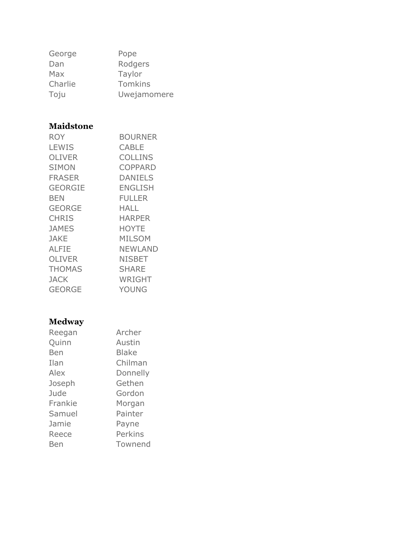| Pope           |
|----------------|
| Rodgers        |
| Taylor         |
| <b>Tomkins</b> |
| Uwejamomere    |
|                |

### **Maidstone**

| <b>ROY</b>     | <b>BOURNER</b> |
|----------------|----------------|
| <b>LEWIS</b>   | CABLE          |
| <b>OLIVER</b>  | <b>COLLINS</b> |
| <b>SIMON</b>   | COPPARD        |
| <b>FRASER</b>  | <b>DANIELS</b> |
| <b>GEORGIE</b> | <b>ENGLISH</b> |
| BEN            | <b>FULLER</b>  |
| <b>GEORGE</b>  | HALL           |
| <b>CHRIS</b>   | <b>HARPER</b>  |
| <b>JAMES</b>   | <b>HOYTE</b>   |
| <b>JAKE</b>    | <b>MILSOM</b>  |
| ALFIE          | NEWLAND        |
| OLIVER         | <b>NISBET</b>  |
| <b>THOMAS</b>  | <b>SHARE</b>   |
| <b>JACK</b>    | WRIGHT         |
| <b>GEORGE</b>  | YOUNG          |

### **Medway**

| Reegan  | Archer       |
|---------|--------------|
| Quinn   | Austin       |
| Ben     | <b>Blake</b> |
| Ilan    | Chilman      |
| Alex    | Donnelly     |
| Joseph  | Gethen       |
| Jude    | Gordon       |
| Frankie | Morgan       |
| Samuel  | Painter      |
| Jamie   | Payne        |
| Reece   | Perkins      |
| Ben     | Townend      |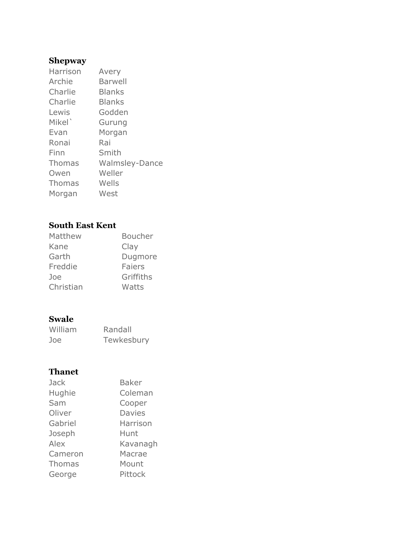### **Shepway**

| Harrison           | Avery                 |
|--------------------|-----------------------|
| Archie             | Barwell               |
| Charlie            | <b>Blanks</b>         |
| Charlie            | <b>Blanks</b>         |
| Lewis              | Godden                |
| Mikel <sup>'</sup> | Gurung                |
| Evan               | Morgan                |
| Ronai              | Rai                   |
| Finn               | Smith                 |
| Thomas             | <b>Walmsley-Dance</b> |
| Owen               | Weller                |
| <b>Thomas</b>      | Wells                 |
| Morgan             | West                  |
|                    |                       |

#### **South East Kent**

| Matthew   | <b>Boucher</b> |
|-----------|----------------|
| Kane      | Clay           |
| Garth     | Dugmore        |
| Freddie   | Faiers         |
| Joe       | Griffiths      |
| Christian | Watts          |
|           |                |

#### **Swale**

| William | Randall    |
|---------|------------|
| Joe     | Tewkesbury |

### **Thanet**

| Jack          | <b>Baker</b>  |
|---------------|---------------|
| Hughie        | Coleman       |
| Sam           | Cooper        |
| Oliver        | <b>Davies</b> |
| Gabriel       | Harrison      |
| Joseph        | Hunt          |
| Alex          | Kavanagh      |
| Cameron       | Macrae        |
| <b>Thomas</b> | Mount         |
| George        | Pittock       |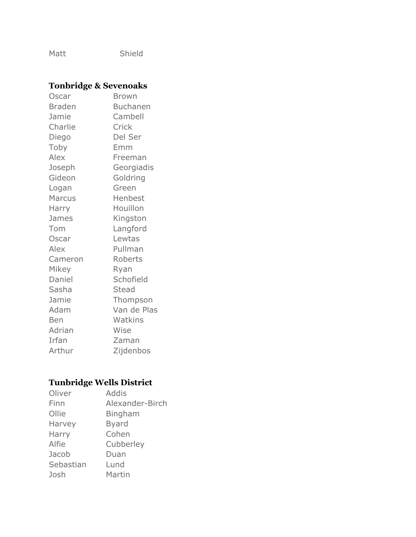Matt Shield

### **Tonbridge & Sevenoaks**

| Oscar         | <b>Brown</b>    |
|---------------|-----------------|
| <b>Braden</b> | <b>Buchanen</b> |
| Jamie         | Cambell         |
| Charlie       | Crick           |
| Diego         | Del Ser         |
| Toby          | Emm             |
| Alex          | Freeman         |
| Joseph        | Georgiadis      |
| Gideon        | Goldring        |
| Logan         | Green           |
| <b>Marcus</b> | Henbest         |
| Harry         | Houillon        |
| James         | Kingston        |
| Tom           | Langford        |
| Oscar         | Lewtas          |
| Alex          | Pullman         |
| Cameron       | Roberts         |
| Mikey         | Ryan            |
| Daniel        | Schofield       |
| Sasha         | <b>Stead</b>    |
| Jamie         | Thompson        |
| Adam          | Van de Plas     |
| <b>Ben</b>    | Watkins         |
| Adrian        | Wise            |
| Irfan         | Zaman           |
| Arthur        | Zijdenbos       |

# **Tunbridge Wells District**

| Oliver    | Addis           |
|-----------|-----------------|
| Finn      | Alexander-Birch |
| Ollie     | <b>Bingham</b>  |
| Harvey    | <b>Byard</b>    |
| Harry     | Cohen           |
| Alfie     | Cubberley       |
| Jacob     | Duan            |
| Sebastian | Lund            |
| Josh      | Martin          |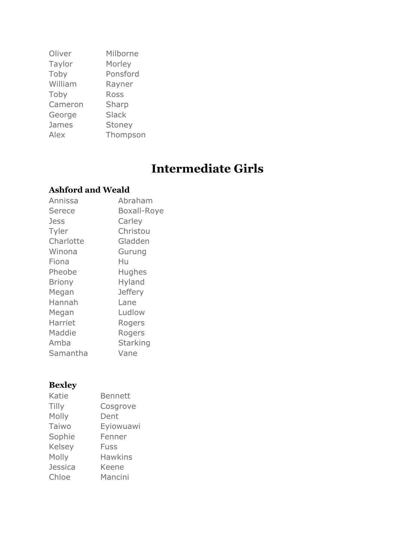| Oliver  | Milborne     |
|---------|--------------|
| Taylor  | Morley       |
| Toby    | Ponsford     |
| William | Rayner       |
| Toby    | Ross         |
| Cameron | Sharp        |
| George  | <b>Slack</b> |
| James   | Stoney       |
| Alex    | Thompson     |

# **Intermediate Girls**

### **Ashford and Weald**

| Annissa       | Abraham            |
|---------------|--------------------|
| Serece        | <b>Boxall-Roye</b> |
| Jess          | Carley             |
| Tyler         | Christou           |
| Charlotte     | Gladden            |
| Winona        | Gurung             |
| Fiona         | Hu                 |
| Pheobe        | Hughes             |
| <b>Briony</b> | Hyland             |
| Megan         | <b>Jeffery</b>     |
| Hannah        | Lane               |
| Megan         | Ludlow             |
| Harriet       | Rogers             |
| Maddie        | Rogers             |
| Amba          | <b>Starking</b>    |
| Samantha      | Vane               |

# **Bexley**

| Katie          | <b>Bennett</b> |
|----------------|----------------|
| Tilly          | Cosgrove       |
| Molly          | Dent           |
| Taiwo          | Eyiowuawi      |
| Sophie         | Fenner         |
| Kelsey         | Fuss           |
| Molly          | <b>Hawkins</b> |
| <b>Jessica</b> | Keene          |
| Chloe          | Mancini        |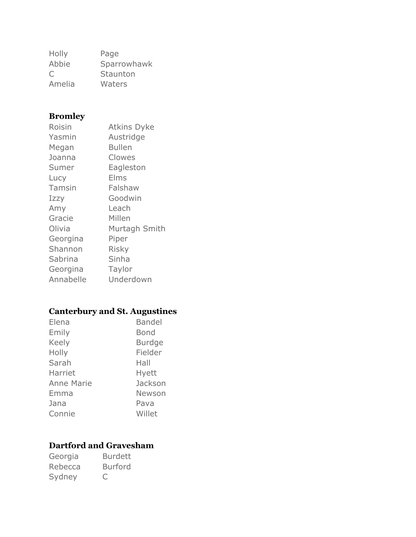| Holly  | Page        |
|--------|-------------|
| Abbie  | Sparrowhawk |
| C      | Staunton    |
| Amelia | Waters      |

### **Bromley**

| Roisin        | <b>Atkins Dyke</b> |
|---------------|--------------------|
| Yasmin        | Austridge          |
| Megan         | <b>Bullen</b>      |
| Joanna        | Clowes             |
| Sumer         | Eagleston          |
| Lucy          | Elms               |
| <b>Tamsin</b> | Falshaw            |
| Izzy          | Goodwin            |
| Amy           | Leach              |
| Gracie        | Millen             |
| Olivia        | Murtagh Smith      |
| Georgina      | Piper              |
| Shannon       | <b>Risky</b>       |
| Sabrina       | Sinha              |
| Georgina      | Taylor             |
| Annabelle     | Underdown          |

### **Canterbury and St. Augustines**

| Elena             | <b>Bandel</b> |
|-------------------|---------------|
| Emily             | Bond          |
| <b>Keely</b>      | <b>Burdge</b> |
| Holly             | Fielder       |
| Sarah             | Hall          |
| Harriet           | Hyett         |
| <b>Anne Marie</b> | Jackson       |
| Emma              | Newson        |
| Jana              | Pava          |
| Connie            | Willet        |

### **Dartford and Gravesham**

Georgia Burdett Rebecca Burford Sydney C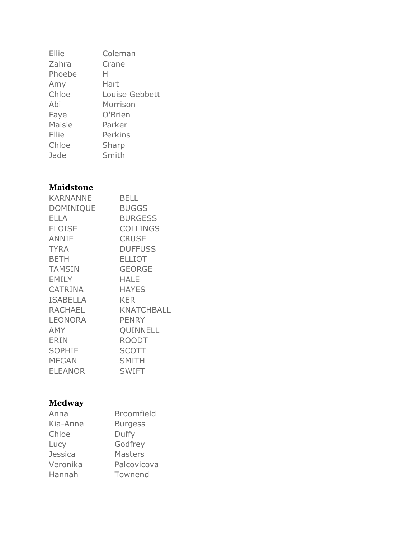| Ellie  | Coleman        |
|--------|----------------|
| Zahra  | Crane          |
| Phoebe | н              |
| Amy    | Hart           |
| Chloe  | Louise Gebbett |
| Abi    | Morrison       |
| Faye   | O'Brien        |
| Maisie | Parker         |
| Ellie  | Perkins        |
| Chloe  | Sharp          |
| Jade   | Smith          |
|        |                |

### **Maidstone**

| <b>KARNANNE</b>  | <b>BELL</b>       |  |
|------------------|-------------------|--|
| <b>DOMINIQUE</b> | <b>BUGGS</b>      |  |
| <b>ELLA</b>      | <b>BURGESS</b>    |  |
| <b>ELOISE</b>    | <b>COLLINGS</b>   |  |
| <b>ANNIE</b>     | <b>CRUSE</b>      |  |
| <b>TYRA</b>      | <b>DUFFUSS</b>    |  |
| <b>BETH</b>      | <b>ELLIOT</b>     |  |
| <b>TAMSIN</b>    | <b>GEORGE</b>     |  |
| <b>EMILY</b>     | <b>HALE</b>       |  |
| <b>CATRINA</b>   | <b>HAYES</b>      |  |
| <b>ISABELLA</b>  | <b>KER</b>        |  |
| <b>RACHAEL</b>   | <b>KNATCHBALL</b> |  |
| <b>LEONORA</b>   | <b>PENRY</b>      |  |
| AMY              | QUINNELL          |  |
| <b>ERIN</b>      | <b>ROODT</b>      |  |
| <b>SOPHIE</b>    | <b>SCOTT</b>      |  |
| <b>MEGAN</b>     | <b>SMITH</b>      |  |
| <b>ELEANOR</b>   | <b>SWIFT</b>      |  |

### **Medway**

| Anna           | <b>Broomfield</b> |
|----------------|-------------------|
| Kia-Anne       | <b>Burgess</b>    |
| Chloe          | Duffy             |
| Lucy           | Godfrey           |
| <b>Jessica</b> | <b>Masters</b>    |
| Veronika       | Palcovicova       |
| Hannah         | Townend           |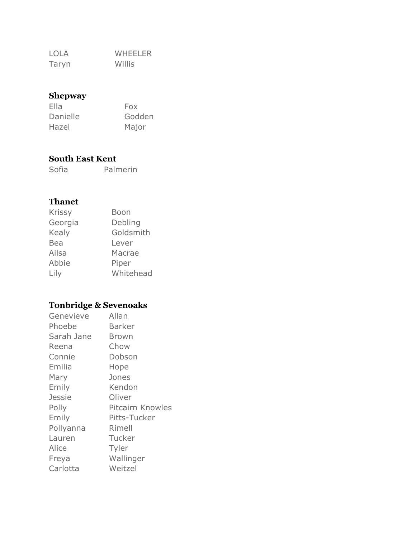LOLA WHEELER Taryn Willis

### **Shepway**

| Ella     | Fox    |
|----------|--------|
| Danielle | Godden |
| Hazel    | Major  |

#### **South East Kent**

Sofia Palmerin

#### **Thanet**

| Boon      |
|-----------|
| Debling   |
| Goldsmith |
| Lever     |
| Macrae    |
| Piper     |
| Whitehead |
|           |

### **Tonbridge & Sevenoaks**

| Genevieve     | Allan            |
|---------------|------------------|
| Phoebe        | Barker           |
| Sarah Jane    | Brown            |
| Reena         | Chow             |
| Connie        | Dobson           |
| Emilia        | Hope             |
| Mary          | Jones            |
| Emily         | Kendon           |
| <b>Jessie</b> | Oliver           |
| Polly         | Pitcairn Knowles |
| Emily         | Pitts-Tucker     |
| Pollyanna     | Rimell           |
| Lauren        | Tucker           |
| Alice         | Tyler            |
| Freya         | Wallinger        |
| Carlotta      | Weitzel          |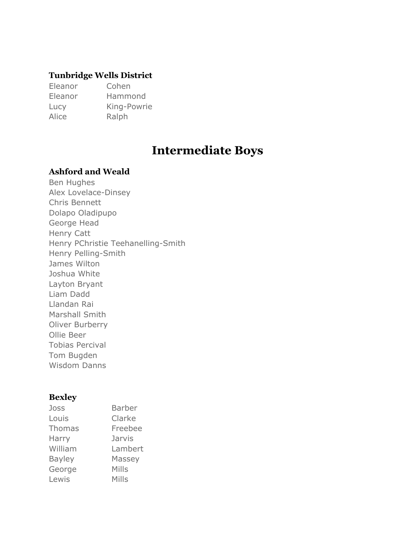#### **Tunbridge Wells District**

Eleanor Cohen Eleanor Hammond Lucy King-Powrie Alice Ralph

# **Intermediate Boys**

#### **Ashford and Weald**

Ben Hughes Alex Lovelace-Dinsey Chris Bennett Dolapo Oladipupo George Head Henry Catt Henry PChristie Teehanelling-Smith Henry Pelling-Smith James Wilton Joshua White Layton Bryant Liam Dadd Llandan Rai Marshall Smith Oliver Burberry Ollie Beer Tobias Percival Tom Bugden Wisdom Danns

#### **Bexley**

| Joss          | <b>Barber</b> |
|---------------|---------------|
| Louis         | Clarke        |
| <b>Thomas</b> | Freebee       |
| Harry         | Jarvis        |
| William       | Lambert       |
| <b>Bayley</b> | Massey        |
| George        | Mills         |
| Lewis         | Mills         |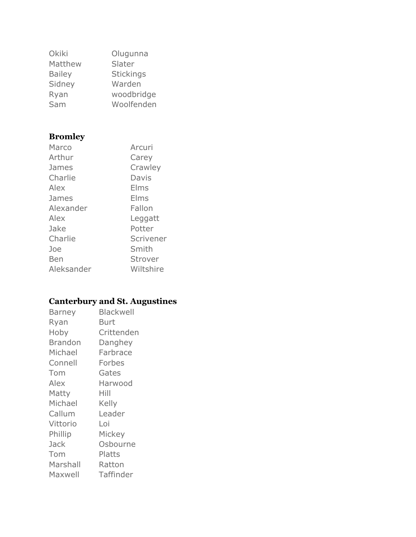| Okiki         | Olugunna         |
|---------------|------------------|
| Matthew       | Slater           |
| <b>Bailey</b> | <b>Stickings</b> |
| Sidney        | Warden           |
| Ryan          | woodbridge       |
| Sam           | Woolfenden       |

# **Bromley**

| Marco      | Arcuri    |
|------------|-----------|
| Arthur     | Carey     |
| James      | Crawley   |
| Charlie    | Davis     |
| Alex       | Elms      |
| James      | Elms      |
| Alexander  | Fallon    |
| Alex       | Leggatt   |
| Jake       | Potter    |
| Charlie    | Scrivener |
| Joe        | Smith     |
| Ben        | Strover   |
| Aleksander | Wiltshire |

### **Canterbury and St. Augustines**

| Barney         | Blackwell  |
|----------------|------------|
| Ryan           | Burt       |
| Hoby           | Crittenden |
| <b>Brandon</b> | Danghey    |
| Michael        | Farbrace   |
| Connell        | Forbes     |
| Tom            | Gates      |
| Alex           | Harwood    |
| Matty          | Hill       |
| Michael        | Kelly      |
| Callum         | Leader     |
| Vittorio       | Loi        |
| Phillip        | Mickey     |
| Jack           | Osbourne   |
| Tom            | Platts     |
| Marshall       | Ratton     |
| Maxwell        | Taffinder  |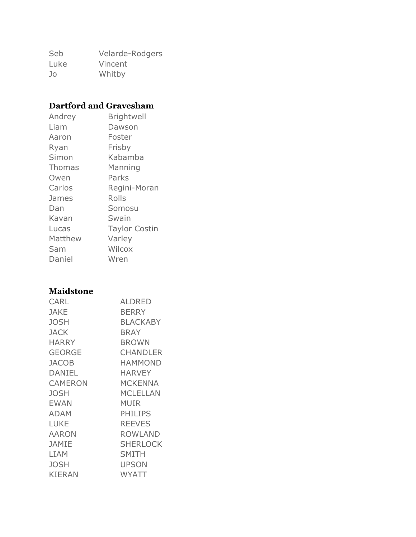Seb Velarde-Rodgers Luke Vincent Jo Whitby

#### **Dartford and Gravesham**

| Andrey        | <b>Brightwell</b>    |
|---------------|----------------------|
| Liam          | Dawson               |
| Aaron         | Foster               |
| Ryan          | Frisby               |
| Simon         | Kabamba              |
| <b>Thomas</b> | Manning              |
| Owen          | Parks                |
| Carlos        | Regini-Moran         |
| James         | Rolls                |
| Dan           | Somosu               |
| Kavan         | Swain                |
| Lucas         | <b>Taylor Costin</b> |
| Matthew       | Varley               |
| Sam           | Wilcox               |
| Daniel        | Wren                 |

#### **Maidstone**

| <b>CARL</b>   | ALDRED          |
|---------------|-----------------|
| <b>JAKE</b>   | <b>BERRY</b>    |
| <b>JOSH</b>   | <b>BLACKABY</b> |
| <b>JACK</b>   | <b>BRAY</b>     |
| <b>HARRY</b>  | <b>BROWN</b>    |
| <b>GEORGE</b> | <b>CHANDLER</b> |
| <b>JACOB</b>  | <b>HAMMOND</b>  |
| <b>DANIEL</b> | <b>HARVEY</b>   |
| CAMERON       | MCKENNA         |
| <b>JOSH</b>   | MCLELLAN        |
| <b>EWAN</b>   | MUIR            |
| <b>ADAM</b>   | PHILIPS         |
| <b>LUKE</b>   | <b>REEVES</b>   |
| <b>AARON</b>  | <b>ROWLAND</b>  |
| <b>JAMIE</b>  | <b>SHERLOCK</b> |
| <b>LIAM</b>   | SMITH           |
| <b>JOSH</b>   | <b>UPSON</b>    |
| <b>KIERAN</b> | WYATT           |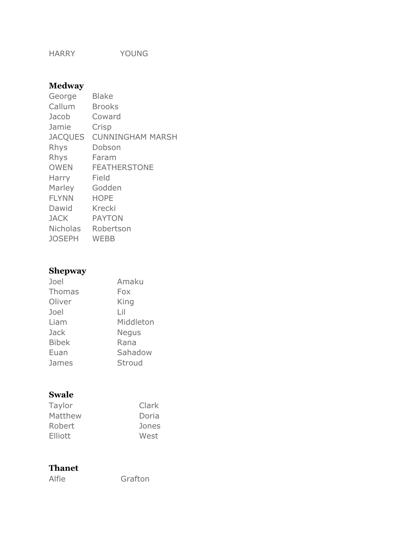HARRY YOUNG

### **Medway**

| George          | <b>Blake</b>            |
|-----------------|-------------------------|
| Callum          | <b>Brooks</b>           |
| Jacob           | Coward                  |
| Jamie           | Crisp                   |
| <b>JACQUES</b>  | <b>CUNNINGHAM MARSH</b> |
| Rhys            | Dobson                  |
| Rhys            | Faram                   |
| <b>OWEN</b>     | <b>FEATHERSTONE</b>     |
| Harry           | Field                   |
| Marley          | Godden                  |
| <b>FLYNN</b>    | <b>HOPE</b>             |
| Dawid           | Krecki                  |
| <b>JACK</b>     | <b>PAYTON</b>           |
| <b>Nicholas</b> | Robertson               |
| <b>JOSEPH</b>   | <b>WEBB</b>             |

### **Shepway**

| Joel          | Amaku        |
|---------------|--------------|
| <b>Thomas</b> | Fox          |
| Oliver        | King         |
| Joel          | l il         |
| Liam          | Middleton    |
| Jack          | <b>Negus</b> |
| <b>Bibek</b>  | Rana         |
| Euan          | Sahadow      |
| James         | Stroud       |

### **Swale**

| Taylor  | Clark |
|---------|-------|
| Matthew | Doria |
| Robert  | Jones |
| Elliott | West  |

### **Thanet**

Alfie Grafton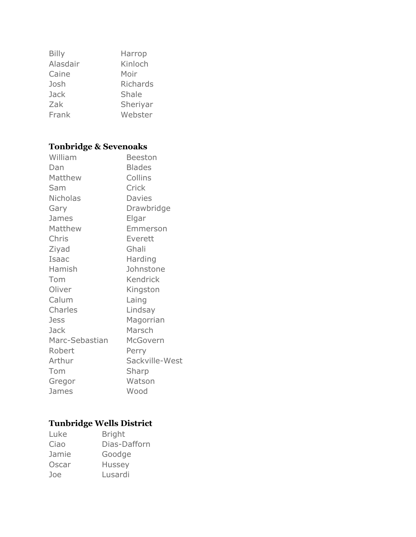| <b>Billy</b> | Harrop          |
|--------------|-----------------|
| Alasdair     | Kinloch         |
| Caine        | Moir            |
| Josh         | <b>Richards</b> |
| <b>Jack</b>  | Shale           |
| Zak          | Sheriyar        |
| Frank        | Webster         |

# **Tonbridge & Sevenoaks**

| William         | <b>Beeston</b> |
|-----------------|----------------|
| Dan             | <b>Blades</b>  |
| Matthew         | Collins        |
| Sam             | Crick          |
| <b>Nicholas</b> | <b>Davies</b>  |
| Gary            | Drawbridge     |
| James           | Elgar          |
| Matthew         | Emmerson       |
| Chris           | Everett        |
| Ziyad           | Ghali          |
| Isaac           | Harding        |
| Hamish          | Johnstone      |
| Tom             | Kendrick       |
| Oliver          | Kingston       |
| Calum           | Laing          |
| Charles         | Lindsay        |
| <b>Jess</b>     | Magorrian      |
| <b>Jack</b>     | Marsch         |
| Marc-Sebastian  | McGovern       |
| Robert          | Perry          |
| Arthur          | Sackville-West |
| Tom             | Sharp          |
| Gregor          | Watson         |
| James           | Wood           |

# **Tunbridge Wells District**

| Luke  | <b>Bright</b> |
|-------|---------------|
| Ciao  | Dias-Dafforn  |
| Jamie | Goodge        |
| Oscar | <b>Hussey</b> |
| Joe   | Lusardi       |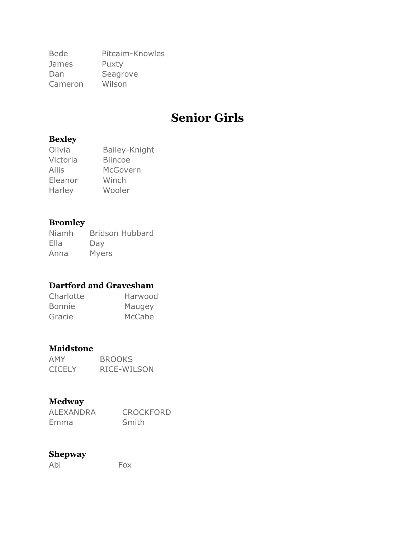Bede Pitcaim-Knowles James Puxty Dan Seagrove Cameron Wilson

# **Senior Girls**

#### **Bexley**

| Olivia   | Bailey-Knight  |
|----------|----------------|
| Victoria | <b>Blincoe</b> |
| Ailis    | McGovern       |
| Eleanor  | Winch          |
| Harley   | Wooler         |

#### **Bromley**

Niamh Bridson Hubbard Ella Day Anna Myers

### **Dartford and Gravesham**

| Charlotte     | Harwood |
|---------------|---------|
| <b>Bonnie</b> | Maugey  |
| Gracie        | McCabe  |

#### **Maidstone**

| AMY           | <b>BROOKS</b> |
|---------------|---------------|
| <b>CICELY</b> | RICE-WILSON   |

#### **Medway**

| ALEXANDRA | <b>CROCKFORD</b> |
|-----------|------------------|
| Emma      | Smith            |

#### **Shepway**

Abi Fox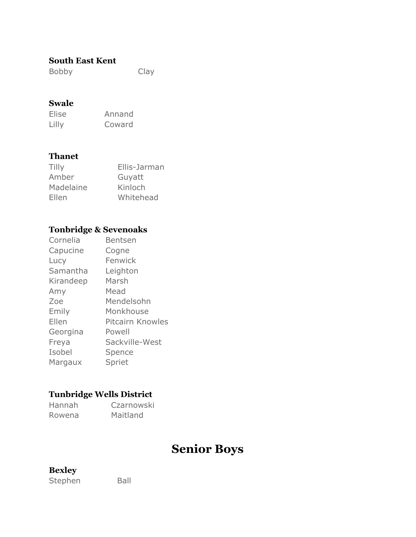#### **South East Kent**

Bobby Clay

#### **Swale**

Elise Annand Lilly Coward

#### **Thanet**

| Tilly     | Ellis-Jarman |
|-----------|--------------|
| Amber     | Guyatt       |
| Madelaine | Kinloch      |
| Ellen     | Whitehead    |

### **Tonbridge & Sevenoaks**

| Cornelia  | Bentsen          |
|-----------|------------------|
| Capucine  | Cogne            |
| Lucy      | Fenwick          |
| Samantha  | Leighton         |
| Kirandeep | Marsh            |
| Amy       | Mead             |
| Zoe       | Mendelsohn       |
| Emily     | Monkhouse        |
| Ellen     | Pitcairn Knowles |
| Georgina  | Powell           |
| Freya     | Sackville-West   |
| Isobel    | Spence           |
| Margaux   | Spriet           |

### **Tunbridge Wells District**

| Hannah | Czarnowski |
|--------|------------|
| Rowena | Maitland   |

# **Senior Boys**

#### **Bexley**

Stephen Ball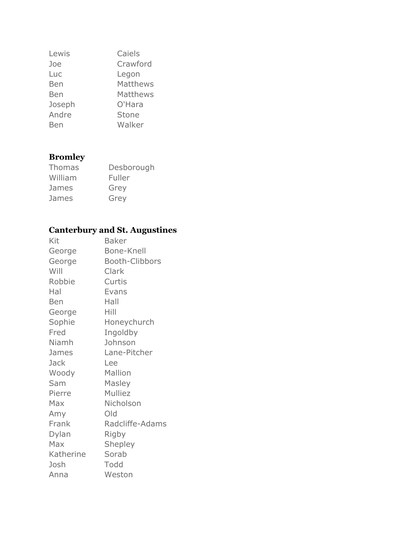| Lewis  | Caiels       |
|--------|--------------|
| Joe    | Crawford     |
| Luc    | Legon        |
| Ben    | Matthews     |
| Ben    | Matthews     |
| Joseph | O'Hara       |
| Andre  | <b>Stone</b> |
| Ben    | Walker       |

# **Bromley**

| <b>Thomas</b> | Desborough |
|---------------|------------|
| William       | Fuller     |
| James         | Grey       |
| James         | Grey       |

# **Canterbury and St. Augustines**

| Kit        | Baker                 |
|------------|-----------------------|
| George     | <b>Bone-Knell</b>     |
| George     | <b>Booth-Clibbors</b> |
| Will       | Clark                 |
| Robbie     | Curtis                |
| Hal        | Evans                 |
| <b>Ben</b> | Hall                  |
| George     | Hill                  |
| Sophie     | Honeychurch           |
| Fred       | Ingoldby              |
| Niamh      | Johnson               |
| James      | Lane-Pitcher          |
| Jack       | Lee                   |
| Woody      | Mallion               |
| Sam        | Masley                |
| Pierre     | <b>Mulliez</b>        |
| Max        | Nicholson             |
| Amy        | Old                   |
| Frank      | Radcliffe-Adams       |
| Dylan      | Rigby                 |
| Max        | Shepley               |
| Katherine  | Sorab                 |
| Josh       | Todd                  |
| Anna       | Weston                |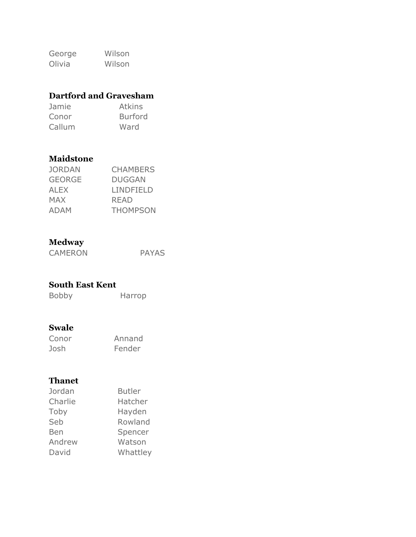George Wilson Olivia Wilson

### **Dartford and Gravesham**

| Jamie  | <b>Atkins</b>  |
|--------|----------------|
| Conor  | <b>Burford</b> |
| Callum | Ward           |

#### **Maidstone**

| JORDAN      | <b>CHAMBERS</b> |
|-------------|-----------------|
| GEORGE      | DUGGAN          |
| <b>ALEX</b> | LINDFIELD       |
| <b>MAX</b>  | READ            |
| <b>ADAM</b> | <b>THOMPSON</b> |

#### **Medway**

CAMERON PAYAS

#### **South East Kent**

Bobby Harrop

#### **Swale**

| Conor | Annand |
|-------|--------|
| Josh  | Fender |

#### **Thanet**

| Jordan  | <b>Butler</b> |
|---------|---------------|
| Charlie | Hatcher       |
| Toby    | Hayden        |
| Seb     | Rowland       |
| Ben     | Spencer       |
| Andrew  | Watson        |
| David   | Whattley      |